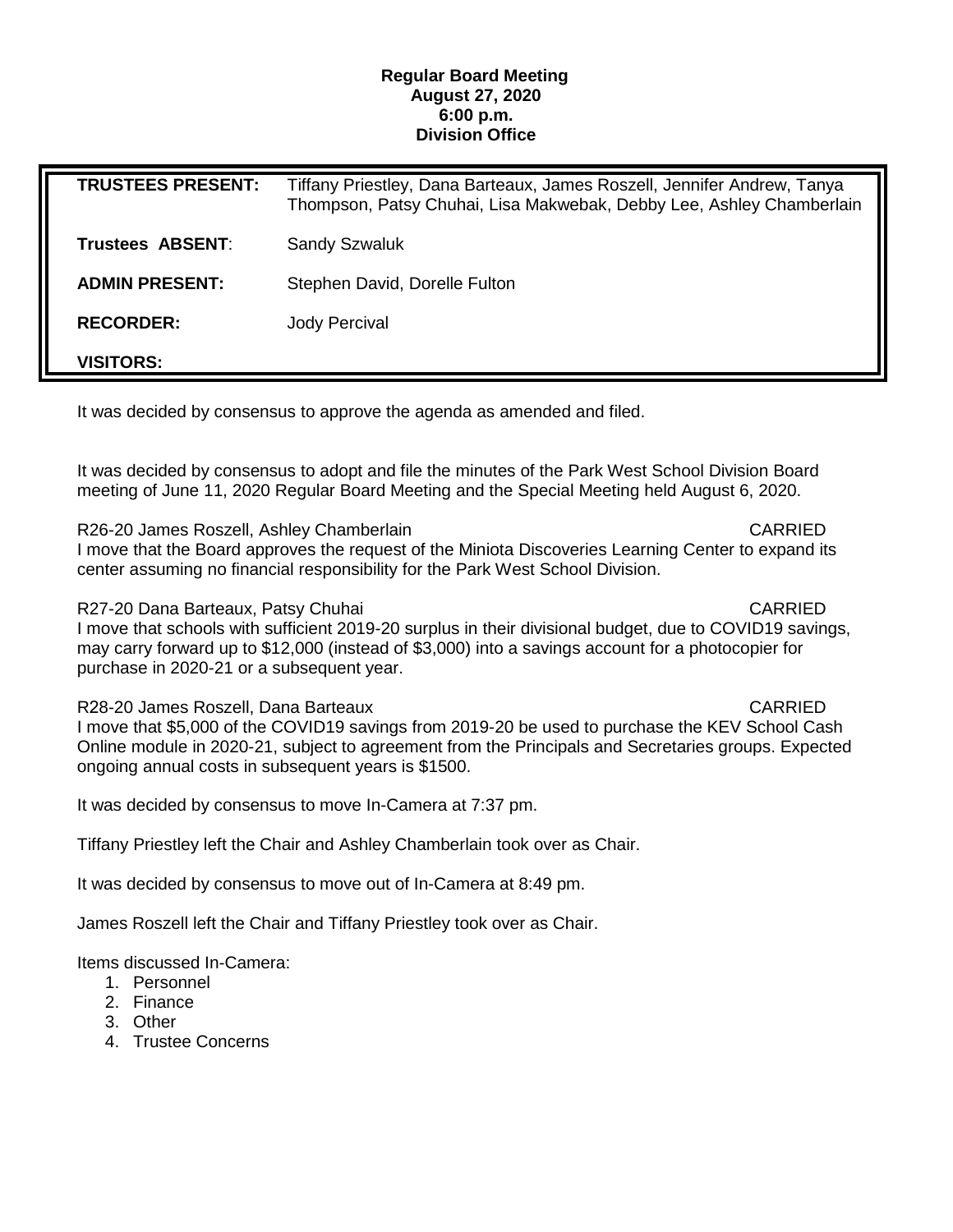## **Regular Board Meeting August 27, 2020 6:00 p.m. Division Office**

| <b>TRUSTEES PRESENT:</b> | Tiffany Priestley, Dana Barteaux, James Roszell, Jennifer Andrew, Tanya<br>Thompson, Patsy Chuhai, Lisa Makwebak, Debby Lee, Ashley Chamberlain |
|--------------------------|-------------------------------------------------------------------------------------------------------------------------------------------------|
| Trustees ABSENT:         | <b>Sandy Szwaluk</b>                                                                                                                            |
| <b>ADMIN PRESENT:</b>    | Stephen David, Dorelle Fulton                                                                                                                   |
| <b>RECORDER:</b>         | Jody Percival                                                                                                                                   |
| <b>VISITORS:</b>         |                                                                                                                                                 |

It was decided by consensus to approve the agenda as amended and filed.

It was decided by consensus to adopt and file the minutes of the Park West School Division Board meeting of June 11, 2020 Regular Board Meeting and the Special Meeting held August 6, 2020.

R26-20 James Roszell, Ashley Chamberlain CARRIED CARRIED

I move that the Board approves the request of the Miniota Discoveries Learning Center to expand its center assuming no financial responsibility for the Park West School Division.

R27-20 Dana Barteaux, Patsy Chuhai CARRIED

I move that schools with sufficient 2019-20 surplus in their divisional budget, due to COVID19 savings, may carry forward up to \$12,000 (instead of \$3,000) into a savings account for a photocopier for purchase in 2020-21 or a subsequent year.

R28-20 James Roszell, Dana Barteaux CARRIED CARRIED

I move that \$5,000 of the COVID19 savings from 2019-20 be used to purchase the KEV School Cash Online module in 2020-21, subject to agreement from the Principals and Secretaries groups. Expected ongoing annual costs in subsequent years is \$1500.

It was decided by consensus to move In-Camera at 7:37 pm.

Tiffany Priestley left the Chair and Ashley Chamberlain took over as Chair.

It was decided by consensus to move out of In-Camera at 8:49 pm.

James Roszell left the Chair and Tiffany Priestley took over as Chair.

Items discussed In-Camera:

- 1. Personnel
- 2. Finance
- 3. Other
- 4. Trustee Concerns